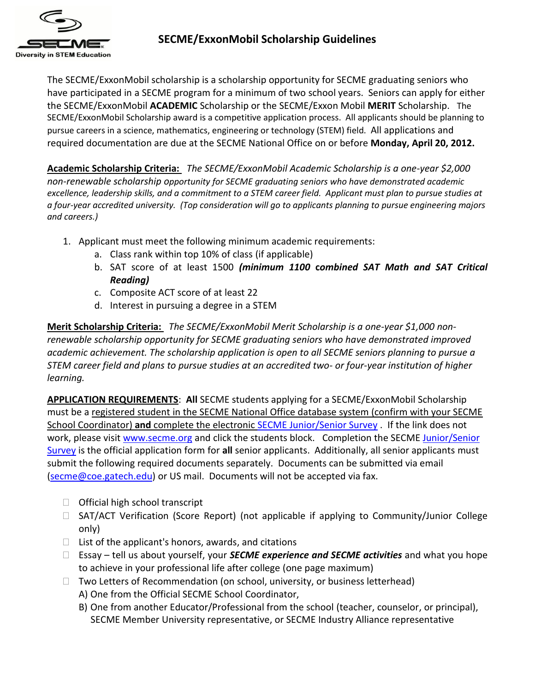

## **SECME/ExxonMobil Scholarship Guidelines**

The SECME/ExxonMobil scholarship is a scholarship opportunity for SECME graduating seniors who have participated in a SECME program for a minimum of two school years. Seniors can apply for either the SECME/ExxonMobil **ACADEMIC** Scholarship or the SECME/Exxon Mobil **MERIT** Scholarship. The SECME/ExxonMobil Scholarship award is a competitive application process. All applicants should be planning to pursue careers in a science, mathematics, engineering or technology (STEM) field. All applications and required documentation are due at the SECME National Office on or before **Monday, April 20, 2012.** 

**Academic Scholarship Criteria:** *The SECME/ExxonMobil Academic Scholarship is a one-year \$2,000 non-renewable scholarship opportunity for SECME graduating seniors who have demonstrated academic excellence, leadership skills, and a commitment to a STEM career field. Applicant must plan to pursue studies at a four-year accredited university. (Top consideration will go to applicants planning to pursue engineering majors and careers.)*

- 1. Applicant must meet the following minimum academic requirements:
	- a. Class rank within top 10% of class (if applicable)
	- b. SAT score of at least 1500 *(minimum 1100* **c***ombined SAT Math and SAT Critical Reading)*
	- c. Composite ACT score of at least 22
	- d. Interest in pursuing a degree in a STEM

**Merit Scholarship Criteria:** *The SECME/ExxonMobil Merit Scholarship is a one-year \$1,000 nonrenewable scholarship opportunity for SECME graduating seniors who have demonstrated improved academic achievement. The scholarship application is open to all SECME seniors planning to pursue a STEM career field and plans to pursue studies at an accredited two- or four-year institution of higher learning.* 

**APPLICATION REQUIREMENTS**: **All** SECME students applying for a SECME/ExxonMobil Scholarship must be a registered student in the SECME National Office database system (confirm with your SECME School Coordinator) **and** complete the electroni[c SECME Junior/Senior Survey](http://freeonlinesurveys.com/rendersurvey.asp?sid=7lxjz8k7lx0bzsm1029637) . If the link does not work, please visit [www.secme.org](http://www.secme.org/) and click the students block. Completion the SECME [Junior/Senior](http://freeonlinesurveys.com/rendersurvey.asp?sid=7lxjz8k7lx0bzsm1029637)  [Survey](http://freeonlinesurveys.com/rendersurvey.asp?sid=7lxjz8k7lx0bzsm1029637) is the official application form for **all** senior applicants. Additionally, all senior applicants must submit the following required documents separately. Documents can be submitted via email [\(secme@coe.gatech.edu\)](mailto:secme@coe.gatech.edu) or US mail. Documents will not be accepted via fax.

- $\Box$  Official high school transcript
- $\Box$  SAT/ACT Verification (Score Report) (not applicable if applying to Community/Junior College only)
- $\Box$  List of the applicant's honors, awards, and citations
- Essay tell us about yourself, your *SECME experience and SECME activities* and what you hope to achieve in your professional life after college (one page maximum)
- $\Box$  Two Letters of Recommendation (on school, university, or business letterhead) A) One from the Official SECME School Coordinator,
	- B) One from another Educator/Professional from the school (teacher, counselor, or principal), SECME Member University representative, or SECME Industry Alliance representative